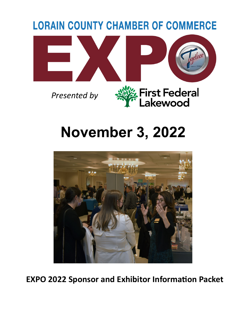

# **November 3, 2022**



**EXPO 2022 Sponsor and Exhibitor Information Packet**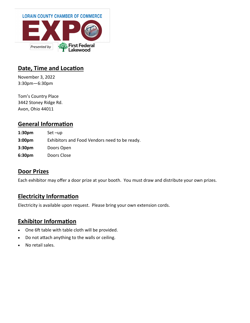

#### **Date, Time and Location**

November 3, 2022 3:30pm—6:30pm

Tom's Country Place 3442 Stoney Ridge Rd. Avon, Ohio 44011

### **General Information**

**1:30pm** Set –up **3:00pm** Exhibitors and Food Vendors need to be ready. **3:30pm** Doors Open **6:30pm** Doors Close

#### **Door Prizes**

Each exhibitor may offer a door prize at your booth. You must draw and distribute your own prizes.

#### **Electricity Information**

Electricity is available upon request. Please bring your own extension cords.

#### **Exhibitor Information**

- One 6ft table with table cloth will be provided.
- Do not attach anything to the walls or ceiling.
- No retail sales.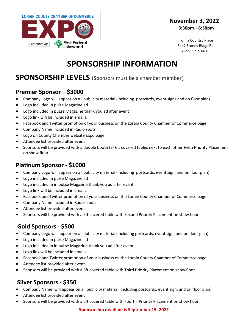

#### **November 3, 2022 3:30pm—6:30pm**

Tom's Country Place 3442 Stoney Ridge Rd. Avon, Ohio 44011

# **SPONSORSHIP INFORMATION**

## **SPONSORSHIP LEVELS** (Sponsors must be a chamber member)

#### **Premier Sponsor—\$3000**

- Company Logo will appear on all publicity material (including postcards, event signs and on floor plan)
- Logo included in pulse Magazine ad
- Logo included in puLse Magazine thank you ad after event
- Logo link will be included in emails.
- Facebook and Twitter promotion of your business on the Lorain County Chamber of Commerce page
- Company Name included in Radio spots
- Logo on County Chamber website Expo page
- Attendee list provided after event
- Sponsors will be provided with a double booth (2- 6ft covered tables next to each other )with Priority Placement on show floor

#### **Platinum Sponsor - \$1000**

- Company Logo will appear on all publicity material (including postcards, event sign, and on floor plan)
- Logo included in pulse Magazine ad
- Logo included in in puLse Magazine thank you ad after event
- Logo link will be included in emails.
- Facebook and Twitter promotion of your business on the Lorain County Chamber of Commerce page
- Company Name included in Radio spots
- Attendee list provided after event
- Sponsors will be provided with a 6ft covered table with Second Priority Placement on show floor

## **Gold Sponsors - \$500**

- Company Logo will appear on all publicity material (including postcards, event sign, and on floor plan)
- Logo included in pulse Magazine ad
- Logo included in in puLse Magazine thank you ad after event
- Logo link will be included in emails.
- Facebook and Twitter promotion of your business on the Lorain County Chamber of Commerce page
- Attendee list provided after event
- Sponsors will be provided with a 6ft covered table with Third Priority Placement on show floor

#### **Silver Sponsors - \$350**

- Company Name will appear on all publicity material (including postcards, event sign, and on floor plan)
- Attendee list provided after event
- Sponsors will be provided with a 6ft covered table with Fourth Priority Placement on show floor.

#### **Sponsorship deadline is September 15, 2022**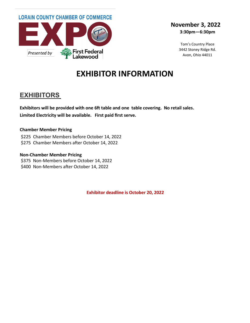

#### **November 3, 2022 3:30pm—6:30pm**

Tom's Country Place 3442 Stoney Ridge Rd. Avon, Ohio 44011

# **EXHIBITOR INFORMATION**

## **EXHIBITORS**

**Exhibitors will be provided with one 6ft table and one table covering. No retail sales. Limited Electricity will be available. First paid first serve.**

#### **Chamber Member Pricing**

\$225 Chamber Members before October 14, 2022 \$275 Chamber Members after October 14, 2022

#### **Non-Chamber Member Pricing**

\$375 Non-Members before October 14, 2022 \$400 Non-Members after October 14, 2022

**Exhibitor deadline is October 20, 2022**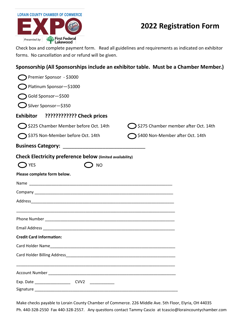## **2022 Registration Form**

Check box and complete payment form. Read all guidelines and requirements as indicated on exhibitor forms. No cancellation and or refund will be given.

#### **Sponsorship (All Sponsorships include an exhibitor table. Must be a Chamber Member.)**

| Premier Sponsor - \$3000                                                                                      |                                                 |
|---------------------------------------------------------------------------------------------------------------|-------------------------------------------------|
| Platinum Sponsor-\$1000                                                                                       |                                                 |
| Gold Sponsor-\$500                                                                                            |                                                 |
| $\bigcup$ Silver Sponsor-\$350                                                                                |                                                 |
| Exhibitor ???????????? Check prices                                                                           |                                                 |
| $\bigcirc$ \$225 Chamber Member before Oct. 14th                                                              | $\bigcirc$ \$275 Chamber member after Oct. 14th |
| ◯ \$375 Non-Member before Oct. 14th                                                                           | \$400 Non-Member after Oct. 14th                |
| <b>Business Category:</b>                                                                                     |                                                 |
| Check Electricity preference below (limited availability)                                                     |                                                 |
| $\bigcirc$ YES<br><b>NO</b>                                                                                   |                                                 |
| Please complete form below.                                                                                   |                                                 |
|                                                                                                               |                                                 |
|                                                                                                               |                                                 |
|                                                                                                               |                                                 |
|                                                                                                               |                                                 |
|                                                                                                               |                                                 |
|                                                                                                               |                                                 |
| <b>Credit Card Information:</b>                                                                               |                                                 |
|                                                                                                               |                                                 |
| <b>Card Holder Billing Address</b>                                                                            |                                                 |
|                                                                                                               |                                                 |
| Account Number 2008 and 2008 and 2008 and 2008 and 2008 and 2008 and 2008 and 2008 and 2008 and 2008 and 2008 |                                                 |
| CVV <sub>2</sub><br>Exp. Date $\_\_$                                                                          |                                                 |
|                                                                                                               |                                                 |

Make checks payable to Lorain County Chamber of Commerce. 226 Middle Ave. 5th Floor, Elyria, OH 44035 Ph. 440-328-2550 Fax 440-328-2557. Any questions contact Tammy Cascio at tcascio@loraincountychamber.com